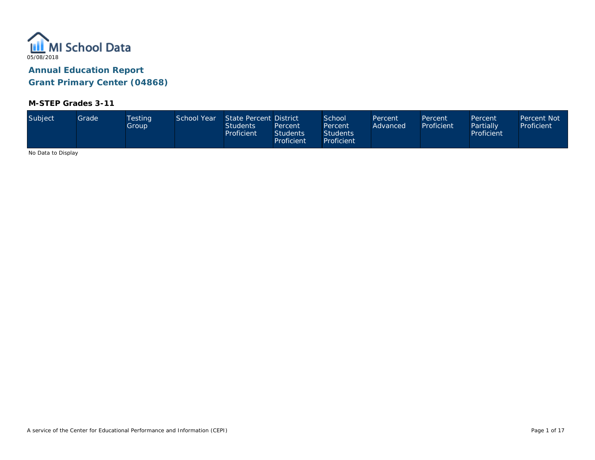

# **M-STEP Grades 3-11**

| Subject            | Grade | <b>Testing</b><br>Group | School Year | State Percent District<br><b>Students</b><br>Proficient | Percent<br><b>Students</b><br><b>Proficient</b> | <b>School</b><br>Percent<br><b>Students</b><br>Proficient | Percent<br>Advanced | Percent<br>Proficient | Percent<br>Partially<br>Proficient | Percent Not<br>Proficient |
|--------------------|-------|-------------------------|-------------|---------------------------------------------------------|-------------------------------------------------|-----------------------------------------------------------|---------------------|-----------------------|------------------------------------|---------------------------|
| No Dota to Dicolou |       |                         |             |                                                         |                                                 |                                                           |                     |                       |                                    |                           |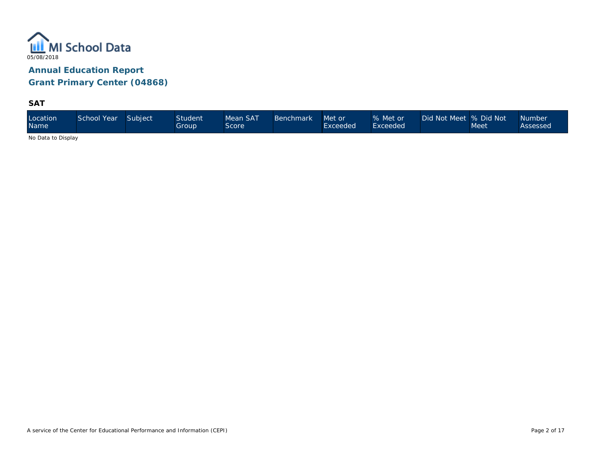

**SAT**

| Mean SAT<br>Location<br>School Year<br>Subject<br>Student <sup>®</sup><br><b>Benchmark</b><br><b>Name</b><br>Group<br>Score | Did Not Meet % Did Not<br>% Met or<br>Met or<br>Exceeded<br>Exceeded | <b>Number</b><br>Meet<br>Assessed |
|-----------------------------------------------------------------------------------------------------------------------------|----------------------------------------------------------------------|-----------------------------------|
|-----------------------------------------------------------------------------------------------------------------------------|----------------------------------------------------------------------|-----------------------------------|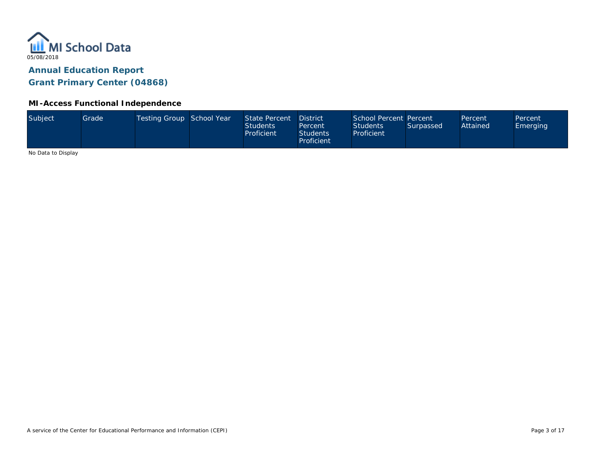

### **MI-Access Functional Independence**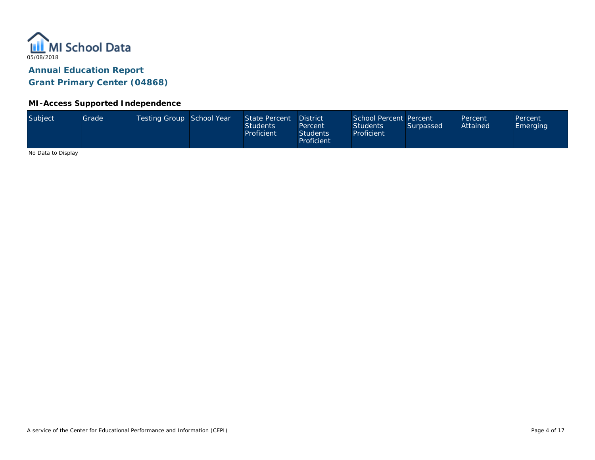

### **MI-Access Supported Independence**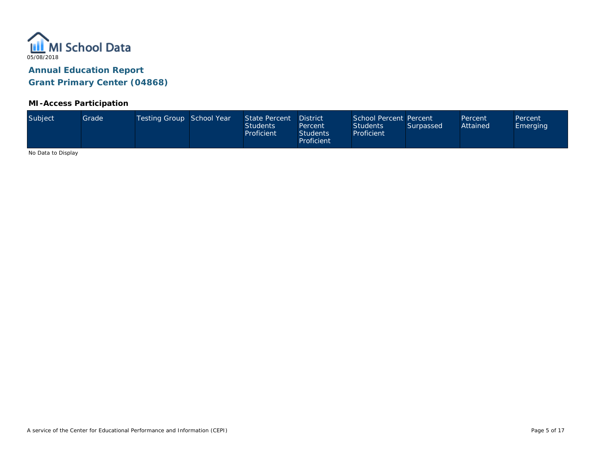

### **MI-Access Participation**

| Proficient | Subject | Grade <sup>1</sup> | Testing Group School Year |  | State Percent<br><b>Students</b><br>Proficient | <b>District</b><br>Percent<br><b>Students</b> | School Percent Percent<br><b>Students</b><br>Proficient | Surpassed | Percent<br>Attained | Percent<br><b>Emerging</b> |
|------------|---------|--------------------|---------------------------|--|------------------------------------------------|-----------------------------------------------|---------------------------------------------------------|-----------|---------------------|----------------------------|
|------------|---------|--------------------|---------------------------|--|------------------------------------------------|-----------------------------------------------|---------------------------------------------------------|-----------|---------------------|----------------------------|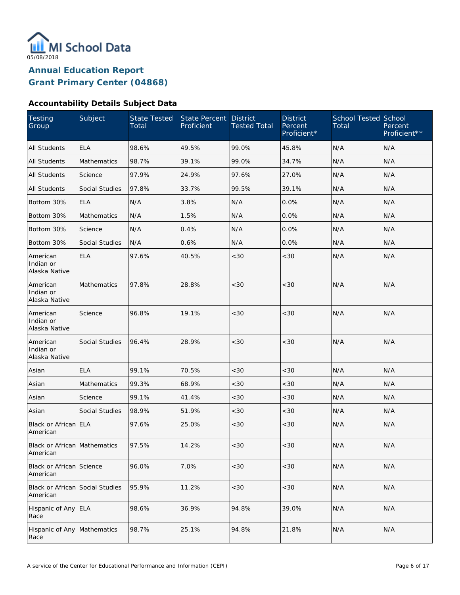

# **Accountability Details Subject Data**

| Testing<br>Group                            | Subject               | <b>State Tested</b><br>Total | State Percent<br>Proficient | <b>District</b><br><b>Tested Total</b> | <b>District</b><br>Percent<br>Proficient* | <b>School Tested School</b><br>Total | Percent<br>Proficient** |
|---------------------------------------------|-----------------------|------------------------------|-----------------------------|----------------------------------------|-------------------------------------------|--------------------------------------|-------------------------|
| <b>All Students</b>                         | <b>ELA</b>            | 98.6%                        | 49.5%                       | 99.0%                                  | 45.8%                                     | N/A                                  | N/A                     |
| All Students                                | Mathematics           | 98.7%                        | 39.1%                       | 99.0%                                  | 34.7%                                     | N/A                                  | N/A                     |
| All Students                                | Science               | 97.9%                        | 24.9%                       | 97.6%                                  | 27.0%                                     | N/A                                  | N/A                     |
| All Students                                | Social Studies        | 97.8%                        | 33.7%                       | 99.5%                                  | 39.1%                                     | N/A                                  | N/A                     |
| Bottom 30%                                  | <b>ELA</b>            | N/A                          | 3.8%                        | N/A                                    | 0.0%                                      | N/A                                  | N/A                     |
| Bottom 30%                                  | Mathematics           | N/A                          | 1.5%                        | N/A                                    | 0.0%                                      | N/A                                  | N/A                     |
| Bottom 30%                                  | Science               | N/A                          | 0.4%                        | N/A                                    | 0.0%                                      | N/A                                  | N/A                     |
| Bottom 30%                                  | <b>Social Studies</b> | N/A                          | 0.6%                        | N/A                                    | 0.0%                                      | N/A                                  | N/A                     |
| American<br>Indian or<br>Alaska Native      | <b>ELA</b>            | 97.6%                        | 40.5%                       | < 30                                   | <30                                       | N/A                                  | N/A                     |
| American<br>Indian or<br>Alaska Native      | <b>Mathematics</b>    | 97.8%                        | 28.8%                       | <30                                    | < 30                                      | N/A                                  | N/A                     |
| American<br>Indian or<br>Alaska Native      | Science               | 96.8%                        | 19.1%                       | < 30                                   | < 30                                      | N/A                                  | N/A                     |
| American<br>Indian or<br>Alaska Native      | <b>Social Studies</b> | 96.4%                        | 28.9%                       | < 30                                   | < 30                                      | N/A                                  | N/A                     |
| Asian                                       | <b>ELA</b>            | 99.1%                        | 70.5%                       | <30                                    | < 30                                      | N/A                                  | N/A                     |
| Asian                                       | <b>Mathematics</b>    | 99.3%                        | 68.9%                       | $<30$                                  | < 30                                      | N/A                                  | N/A                     |
| Asian                                       | Science               | 99.1%                        | 41.4%                       | $<30$                                  | <30                                       | N/A                                  | N/A                     |
| Asian                                       | <b>Social Studies</b> | 98.9%                        | 51.9%                       | $<30$                                  | < 30                                      | N/A                                  | N/A                     |
| Black or African ELA<br>American            |                       | 97.6%                        | 25.0%                       | <30                                    | <30                                       | N/A                                  | N/A                     |
| Black or African Mathematics<br>American    |                       | 97.5%                        | 14.2%                       | $<30$                                  | $<\!30$                                   | $\mathsf{N}/\mathsf{A}$              | N/A                     |
| Black or African Science<br>American        |                       | 96.0%                        | 7.0%                        | $<\!30$                                | $<30$                                     | N/A                                  | N/A                     |
| Black or African Social Studies<br>American |                       | 95.9%                        | 11.2%                       | $<\!30$                                | $<30$                                     | N/A                                  | N/A                     |
| Hispanic of Any ELA<br>Race                 |                       | 98.6%                        | 36.9%                       | 94.8%                                  | 39.0%                                     | N/A                                  | N/A                     |
| Hispanic of Any Mathematics<br>Race         |                       | 98.7%                        | 25.1%                       | 94.8%                                  | 21.8%                                     | N/A                                  | N/A                     |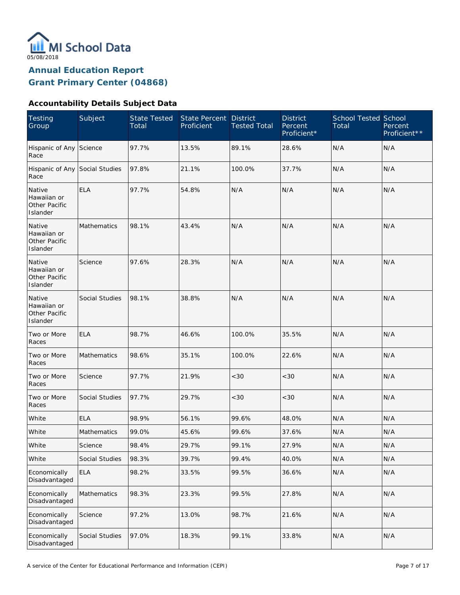

# **Accountability Details Subject Data**

| <b>Testing</b><br>Group                            | Subject            | <b>State Tested</b><br>Total | <b>State Percent</b><br>Proficient | <b>District</b><br><b>Tested Total</b> | <b>District</b><br>Percent<br>Proficient* | <b>School Tested School</b><br>Total | Percent<br>Proficient** |
|----------------------------------------------------|--------------------|------------------------------|------------------------------------|----------------------------------------|-------------------------------------------|--------------------------------------|-------------------------|
| Hispanic of Any Science<br>Race                    |                    | 97.7%                        | 13.5%                              | 89.1%                                  | 28.6%                                     | N/A                                  | N/A                     |
| Hispanic of Any Social Studies<br>Race             |                    | 97.8%                        | 21.1%                              | 100.0%                                 | 37.7%                                     | N/A                                  | N/A                     |
| Native<br>Hawaiian or<br>Other Pacific<br>Islander | <b>ELA</b>         | 97.7%                        | 54.8%                              | N/A                                    | N/A                                       | N/A                                  | N/A                     |
| Native<br>Hawaiian or<br>Other Pacific<br>Islander | Mathematics        | 98.1%                        | 43.4%                              | N/A                                    | N/A                                       | N/A                                  | N/A                     |
| Native<br>Hawaiian or<br>Other Pacific<br>Islander | Science            | 97.6%                        | 28.3%                              | N/A                                    | N/A                                       | N/A                                  | N/A                     |
| Native<br>Hawaiian or<br>Other Pacific<br>Islander | Social Studies     | 98.1%                        | 38.8%                              | N/A                                    | N/A                                       | N/A                                  | N/A                     |
| Two or More<br>Races                               | <b>ELA</b>         | 98.7%                        | 46.6%                              | 100.0%                                 | 35.5%                                     | N/A                                  | N/A                     |
| Two or More<br>Races                               | Mathematics        | 98.6%                        | 35.1%                              | 100.0%                                 | 22.6%                                     | N/A                                  | N/A                     |
| Two or More<br>Races                               | Science            | 97.7%                        | 21.9%                              | < 30                                   | < 30                                      | N/A                                  | N/A                     |
| Two or More<br>Races                               | Social Studies     | 97.7%                        | 29.7%                              | <30                                    | < 30                                      | N/A                                  | N/A                     |
| White                                              | <b>ELA</b>         | 98.9%                        | 56.1%                              | 99.6%                                  | 48.0%                                     | N/A                                  | N/A                     |
| White                                              | <b>Mathematics</b> | 99.0%                        | 45.6%                              | 99.6%                                  | 37.6%                                     | N/A                                  | N/A                     |
| White                                              | Science            | 98.4%                        | 29.7%                              | 99.1%                                  | 27.9%                                     | N/A                                  | N/A                     |
| White                                              | Social Studies     | 98.3%                        | 39.7%                              | 99.4%                                  | 40.0%                                     | N/A                                  | N/A                     |
| Economically<br>Disadvantaged                      | <b>ELA</b>         | 98.2%                        | 33.5%                              | 99.5%                                  | 36.6%                                     | N/A                                  | N/A                     |
| Economically<br>Disadvantaged                      | Mathematics        | 98.3%                        | 23.3%                              | 99.5%                                  | 27.8%                                     | N/A                                  | N/A                     |
| Economically<br>Disadvantaged                      | Science            | 97.2%                        | 13.0%                              | 98.7%                                  | 21.6%                                     | N/A                                  | N/A                     |
| Economically<br>Disadvantaged                      | Social Studies     | 97.0%                        | 18.3%                              | 99.1%                                  | 33.8%                                     | N/A                                  | N/A                     |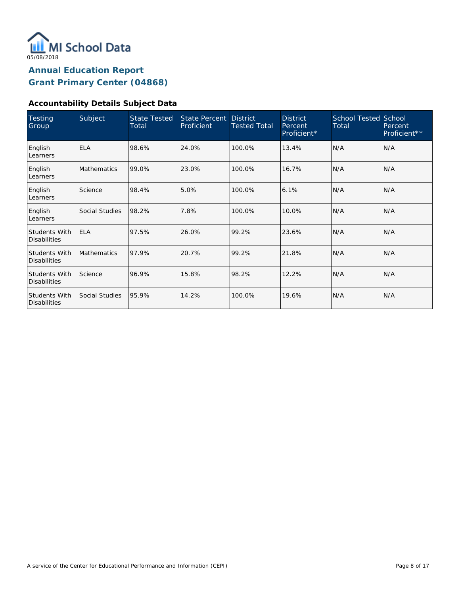

# **Accountability Details Subject Data**

| <b>Testing</b><br>Group                     | Subject            | <b>State Tested</b><br>Total | State Percent<br>Proficient | <b>District</b><br><b>Tested Total</b> | <b>District</b><br>Percent<br>Proficient* | <b>School Tested School</b><br>Total | Percent<br>Proficient** |
|---------------------------------------------|--------------------|------------------------------|-----------------------------|----------------------------------------|-------------------------------------------|--------------------------------------|-------------------------|
| English<br>Learners                         | <b>ELA</b>         | 98.6%                        | 24.0%                       | 100.0%                                 | 13.4%                                     | N/A                                  | N/A                     |
| English<br>Learners                         | <b>Mathematics</b> | 99.0%                        | 23.0%                       | 100.0%                                 | 16.7%                                     | N/A                                  | N/A                     |
| English<br>Learners                         | Science            | 98.4%                        | 5.0%                        | 100.0%                                 | 6.1%                                      | N/A                                  | N/A                     |
| English<br>Learners                         | Social Studies     | 98.2%                        | 7.8%                        | 100.0%                                 | 10.0%                                     | N/A                                  | N/A                     |
| <b>Students With</b><br><b>Disabilities</b> | <b>ELA</b>         | 97.5%                        | 26.0%                       | 99.2%                                  | 23.6%                                     | N/A                                  | N/A                     |
| <b>Students With</b><br><b>Disabilities</b> | <b>Mathematics</b> | 97.9%                        | 20.7%                       | 99.2%                                  | 21.8%                                     | N/A                                  | N/A                     |
| <b>Students With</b><br><b>Disabilities</b> | Science            | 96.9%                        | 15.8%                       | 98.2%                                  | 12.2%                                     | N/A                                  | N/A                     |
| Students With<br><b>Disabilities</b>        | Social Studies     | 95.9%                        | 14.2%                       | 100.0%                                 | 19.6%                                     | N/A                                  | N/A                     |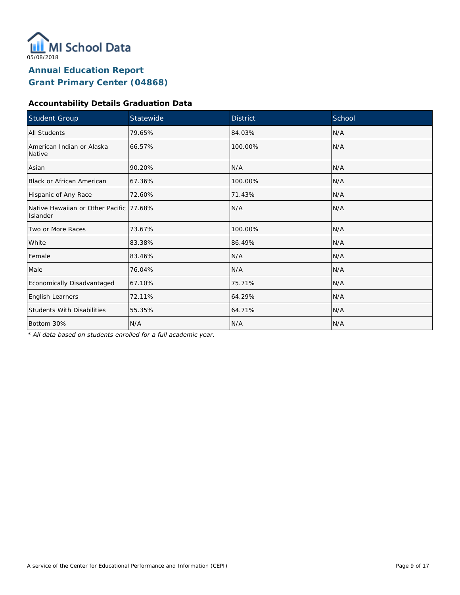

# **Accountability Details Graduation Data**

| <b>Student Group</b>                                | Statewide | <b>District</b> | School |
|-----------------------------------------------------|-----------|-----------------|--------|
| <b>All Students</b>                                 | 79.65%    | 84.03%          | N/A    |
| American Indian or Alaska<br>Native                 | 66.57%    | 100.00%         | N/A    |
| Asian                                               | 90.20%    | N/A             | N/A    |
| <b>Black or African American</b>                    | 67.36%    | 100.00%         | N/A    |
| Hispanic of Any Race                                | 72.60%    | 71.43%          | N/A    |
| Native Hawaiian or Other Pacific 77.68%<br>Islander |           | N/A             | N/A    |
| Two or More Races                                   | 73.67%    | 100.00%         | N/A    |
| White                                               | 83.38%    | 86.49%          | N/A    |
| Female                                              | 83.46%    | N/A             | N/A    |
| Male                                                | 76.04%    | N/A             | N/A    |
| Economically Disadvantaged                          | 67.10%    | 75.71%          | N/A    |
| English Learners                                    | 72.11%    | 64.29%          | N/A    |
| <b>Students With Disabilities</b>                   | 55.35%    | 64.71%          | N/A    |
| Bottom 30%                                          | N/A       | N/A             | N/A    |

*\* All data based on students enrolled for a full academic year.*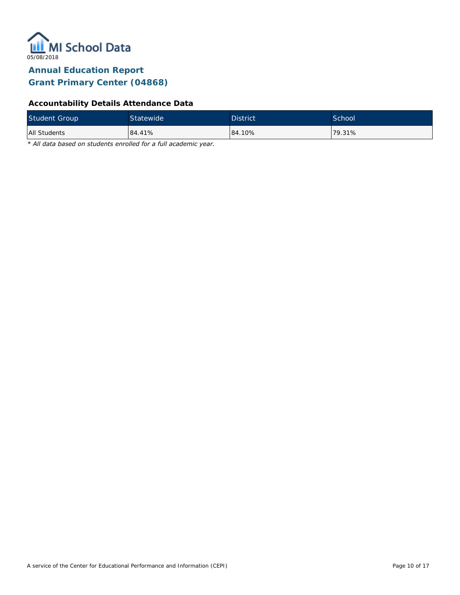

# **Accountability Details Attendance Data**

| <b>Student Group</b> | Statewide | <b>District</b> | School <sup>1</sup> |
|----------------------|-----------|-----------------|---------------------|
| All Students         | 84.41%    | 84.10%          | $179.31\%$          |

*\* All data based on students enrolled for a full academic year.*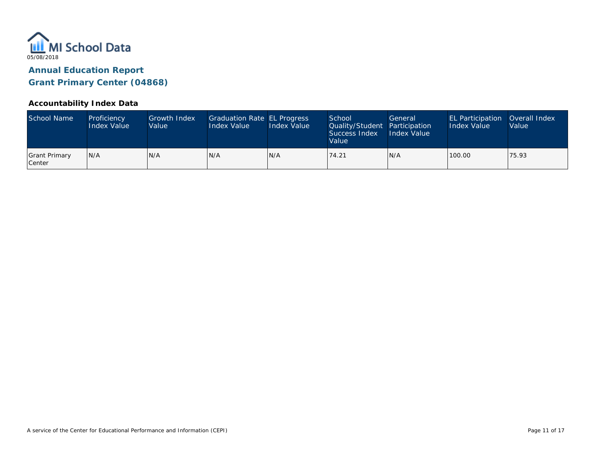

### **Accountability Index Data**

| School Name             | Proficiency<br><b>Index Value</b> | Growth Index<br>Value | Graduation Rate EL Progress<br>Index Value | Index Value | School<br>Quality/Student Participation<br>Success Index<br>Value | General<br>Index Value | <b>EL Participation</b><br>Index Value | Overall Index<br>Value |
|-------------------------|-----------------------------------|-----------------------|--------------------------------------------|-------------|-------------------------------------------------------------------|------------------------|----------------------------------------|------------------------|
| Grant Primary<br>Center | IN/A                              | IN/A                  | N/A                                        | IN/A        | 74.21                                                             | IN/A                   | 100.00                                 | 75.93                  |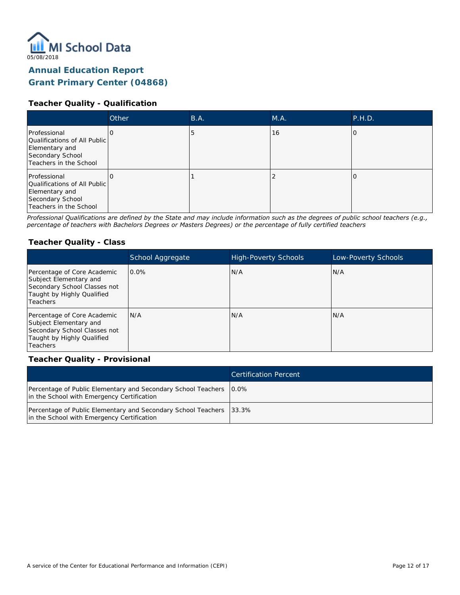

### **Teacher Quality - Qualification**

|                                                                                                              | <b>Other</b> | B.A. | M.A. | P.H.D. |
|--------------------------------------------------------------------------------------------------------------|--------------|------|------|--------|
| Professional<br>Qualifications of All Public<br>Elementary and<br>Secondary School<br>Teachers in the School |              | C    | 16   |        |
| Professional<br>Qualifications of All Public<br>Elementary and<br>Secondary School<br>Teachers in the School |              |      |      |        |

*Professional Qualifications are defined by the State and may include information such as the degrees of public school teachers (e.g., percentage of teachers with Bachelors Degrees or Masters Degrees) or the percentage of fully certified teachers*

#### **Teacher Quality - Class**

|                                                                                                                                 | School Aggregate | <b>High-Poverty Schools</b> | Low-Poverty Schools |
|---------------------------------------------------------------------------------------------------------------------------------|------------------|-----------------------------|---------------------|
| Percentage of Core Academic<br>Subject Elementary and<br>Secondary School Classes not<br>Taught by Highly Qualified<br>Teachers | $0.0\%$          | N/A                         | N/A                 |
| Percentage of Core Academic<br>Subject Elementary and<br>Secondary School Classes not<br>Taught by Highly Qualified<br>Teachers | N/A              | N/A                         | N/A                 |

#### **Teacher Quality - Provisional**

|                                                                                                                     | <b>Certification Percent</b> |
|---------------------------------------------------------------------------------------------------------------------|------------------------------|
| Percentage of Public Elementary and Secondary School Teachers   0.0%<br>in the School with Emergency Certification  |                              |
| Percentage of Public Elementary and Secondary School Teachers   33.3%<br>in the School with Emergency Certification |                              |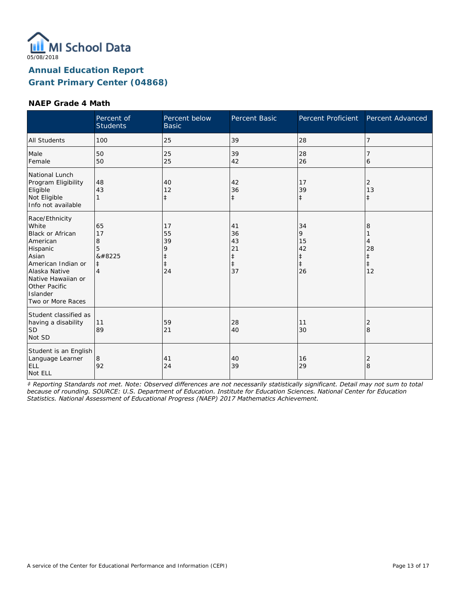

#### **NAEP Grade 4 Math**

|                                                                                                                                                                                                    | Percent of<br><b>Students</b>                           | Percent below<br><b>Basic</b>                         | Percent Basic                                          | Percent Proficient                                    | Percent Advanced                               |
|----------------------------------------------------------------------------------------------------------------------------------------------------------------------------------------------------|---------------------------------------------------------|-------------------------------------------------------|--------------------------------------------------------|-------------------------------------------------------|------------------------------------------------|
| <b>All Students</b>                                                                                                                                                                                | 100                                                     | 25                                                    | 39                                                     | 28                                                    | 7                                              |
| Male<br>Female                                                                                                                                                                                     | 50<br>50                                                | 25<br>25                                              | 39<br>42                                               | 28<br>26                                              | 6                                              |
| National Lunch<br>Program Eligibility<br>Eligible<br>Not Eligible<br>Info not available                                                                                                            | 48<br>43                                                | 40<br>12<br>$\ddagger$                                | 42<br>36<br>$\ddagger$                                 | 17<br>39<br>$\ddagger$                                | 2<br>13<br>$\ddagger$                          |
| Race/Ethnicity<br>White<br><b>Black or African</b><br>American<br>Hispanic<br>Asian<br>American Indian or<br>Alaska Native<br>Native Hawaiian or<br>Other Pacific<br>Islander<br>Two or More Races | 65<br>17<br>8<br>5<br>‡<br>$\ddagger$<br>$\overline{4}$ | 17<br>55<br>39<br>9<br>$\ddagger$<br>$\ddagger$<br>24 | 41<br>36<br>43<br>21<br>$\ddagger$<br>$\ddagger$<br>37 | 34<br>9<br>15<br>42<br>$\ddagger$<br>$\ddagger$<br>26 | 8<br>4<br>28<br>$\ddagger$<br>$\ddagger$<br>12 |
| Student classified as<br>having a disability<br><b>SD</b><br>Not SD                                                                                                                                | 11<br>89                                                | 59<br>21                                              | 28<br>40                                               | 11<br>30                                              | $\overline{2}$<br>8                            |
| Student is an English<br>Language Learner<br>ELL<br>Not ELL                                                                                                                                        | 8<br>92                                                 | 41<br>24                                              | 40<br>39                                               | 16<br>29                                              | $\overline{2}$<br>$\overline{8}$               |

*‡ Reporting Standards not met. Note: Observed differences are not necessarily statistically significant. Detail may not sum to total because of rounding. SOURCE: U.S. Department of Education. Institute for Education Sciences. National Center for Education Statistics. National Assessment of Educational Progress (NAEP) 2017 Mathematics Achievement.*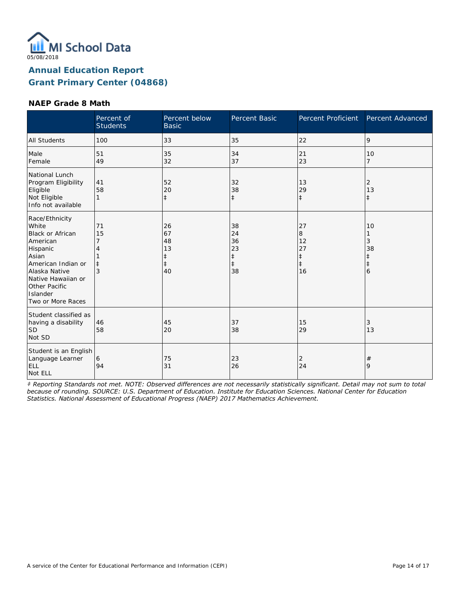

#### **NAEP Grade 8 Math**

|                                                                                                                                                                                                    | Percent of<br><b>Students</b>    | Percent below<br><b>Basic</b>                          | Percent Basic                                          | Percent Proficient                                    | Percent Advanced                      |
|----------------------------------------------------------------------------------------------------------------------------------------------------------------------------------------------------|----------------------------------|--------------------------------------------------------|--------------------------------------------------------|-------------------------------------------------------|---------------------------------------|
| <b>All Students</b>                                                                                                                                                                                | 100                              | 33                                                     | 35                                                     | 22                                                    | 9                                     |
| Male<br>Female                                                                                                                                                                                     | 51<br>49                         | 35<br>32                                               | 34<br>37                                               | 21<br>23                                              | 10<br>7                               |
| National Lunch<br>Program Eligibility<br>Eligible<br>Not Eligible<br>Info not available                                                                                                            | 41<br>58<br>1                    | 52<br>20<br>$\ddagger$                                 | 32<br>38<br>$\ddagger$                                 | 13<br>29<br>$\ddagger$                                | 2<br>13<br>$\ddagger$                 |
| Race/Ethnicity<br>White<br><b>Black or African</b><br>American<br>Hispanic<br>Asian<br>American Indian or<br>Alaska Native<br>Native Hawaiian or<br>Other Pacific<br>Islander<br>Two or More Races | 71<br>15<br>7<br>$\ddagger$<br>3 | 26<br>67<br>48<br>13<br>$\ddagger$<br>$\ddagger$<br>40 | 38<br>24<br>36<br>23<br>$\ddagger$<br>$\ddagger$<br>38 | 27<br>8<br>12<br>27<br>$\ddagger$<br>$\ddagger$<br>16 | 10<br>3<br>38<br>ŧ<br>$\ddagger$<br>6 |
| Student classified as<br>having a disability<br><b>SD</b><br>Not SD                                                                                                                                | 46<br>58                         | 45<br>20                                               | 37<br>38                                               | 15<br>29                                              | 3<br>13                               |
| Student is an English<br>Language Learner<br>ELL<br>Not ELL                                                                                                                                        | 6<br>94                          | 75<br>31                                               | 23<br>26                                               | $\overline{2}$<br>24                                  | $\#$<br>9                             |

*‡ Reporting Standards not met. NOTE: Observed differences are not necessarily statistically significant. Detail may not sum to total because of rounding. SOURCE: U.S. Department of Education. Institute for Education Sciences. National Center for Education Statistics. National Assessment of Educational Progress (NAEP) 2017 Mathematics Achievement.*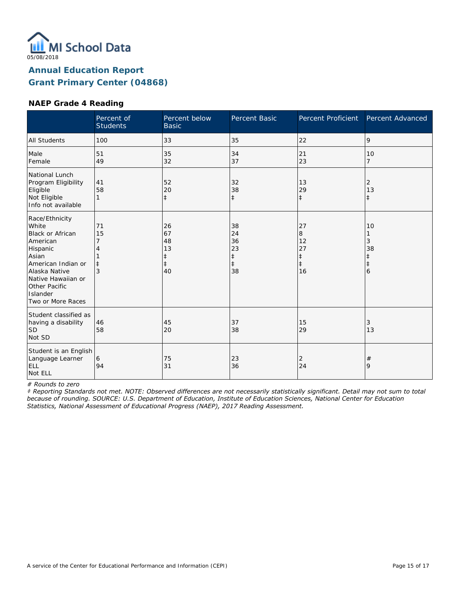

### **NAEP Grade 4 Reading**

|                                                                                                                                                                                             | Percent of<br><b>Students</b> | Percent below<br><b>Basic</b>                          | Percent Basic                                          | Percent Proficient                                    | Percent Advanced                          |
|---------------------------------------------------------------------------------------------------------------------------------------------------------------------------------------------|-------------------------------|--------------------------------------------------------|--------------------------------------------------------|-------------------------------------------------------|-------------------------------------------|
| <b>All Students</b>                                                                                                                                                                         | 100                           | 33                                                     | 35                                                     | 22                                                    | 9                                         |
| Male<br>Female                                                                                                                                                                              | 51<br>49                      | 35<br>32                                               | 34<br>37                                               | 21<br>23                                              | 10<br>$\overline{7}$                      |
| National Lunch<br>Program Eligibility<br>Eligible<br>Not Eligible<br>Info not available                                                                                                     | 41<br>58<br>$\mathbf{1}$      | 52<br>20<br>$\ddagger$                                 | 32<br>38<br>$\ddagger$                                 | 13<br>29<br>$\ddagger$                                | 2<br>13<br>$\ddagger$                     |
| Race/Ethnicity<br>White<br>Black or African<br>American<br>Hispanic<br>Asian<br>American Indian or<br>Alaska Native<br>Native Hawaiian or<br>Other Pacific<br>Islander<br>Two or More Races | 71<br>15<br>3                 | 26<br>67<br>48<br>13<br>$\ddagger$<br>$\ddagger$<br>40 | 38<br>24<br>36<br>23<br>$\ddagger$<br>$\ddagger$<br>38 | 27<br>8<br>12<br>27<br>$\ddagger$<br>$\ddagger$<br>16 | 10<br>3<br>38<br>$\pm$<br>$\ddagger$<br>6 |
| Student classified as<br>having a disability<br><b>SD</b><br>Not SD                                                                                                                         | 46<br>58                      | 45<br>20                                               | 37<br>38                                               | 15<br>29                                              | 3<br>13                                   |
| Student is an English<br>Language Learner<br>ELL<br>Not ELL                                                                                                                                 | 6<br>94                       | 75<br>31                                               | 23<br>36                                               | 2<br>24                                               | $^{\#}$<br>9                              |

*# Rounds to zero*

*‡ Reporting Standards not met. NOTE: Observed differences are not necessarily statistically significant. Detail may not sum to total because of rounding. SOURCE: U.S. Department of Education, Institute of Education Sciences, National Center for Education Statistics, National Assessment of Educational Progress (NAEP), 2017 Reading Assessment.*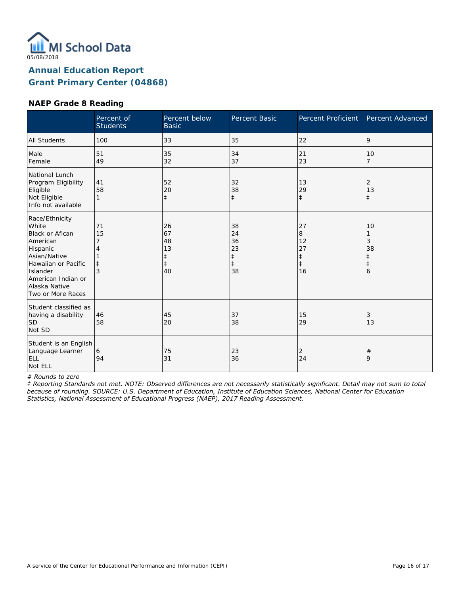

### **NAEP Grade 8 Reading**

|                                                                                                                                                                                          | Percent of<br><b>Students</b>  | Percent below<br><b>Basic</b>                 | Percent Basic                                          | Percent Proficient                                    | Percent Advanced                               |
|------------------------------------------------------------------------------------------------------------------------------------------------------------------------------------------|--------------------------------|-----------------------------------------------|--------------------------------------------------------|-------------------------------------------------------|------------------------------------------------|
| <b>All Students</b>                                                                                                                                                                      | 100                            | 33                                            | 35                                                     | 22                                                    | 9                                              |
| Male<br>Female                                                                                                                                                                           | 51<br>49                       | 35<br>32                                      | 34<br>37                                               | 21<br>23                                              | 10<br>7                                        |
| National Lunch<br>Program Eligibility<br>Eligible<br>Not Eligible<br>Info not available                                                                                                  | 41<br>58                       | 52<br>20<br>$\ddagger$                        | 32<br>38<br>$\ddagger$                                 | 13<br>29<br>$\ddagger$                                | 2<br>13<br>$\ddagger$                          |
| Race/Ethnicity<br>White<br><b>Black or Afican</b><br>American<br>Hispanic<br>Asian/Native<br>Hawaiian or Pacific<br>Islander<br>American Indian or<br>Alaska Native<br>Two or More Races | 71<br>15<br>$^{\ddagger}$<br>3 | 26<br>67<br>48<br>13<br>‡<br>$\ddagger$<br>40 | 38<br>24<br>36<br>23<br>$\ddagger$<br>$\ddagger$<br>38 | 27<br>8<br>12<br>27<br>$\ddagger$<br>$\ddagger$<br>16 | 10<br>3<br>38<br>$\ddagger$<br>$\ddagger$<br>6 |
| Student classified as<br>having a disability<br>lsd<br>Not SD                                                                                                                            | 46<br>58                       | 45<br>20                                      | 37<br>38                                               | 15<br>29                                              | 3<br>13                                        |
| Student is an English<br>Language Learner<br>ELL<br>Not ELL                                                                                                                              | 6<br>94                        | 75<br>31                                      | 23<br>36                                               | 2<br>24                                               | $^{\#}$<br>9                                   |

*# Rounds to zero*

*‡ Reporting Standards not met. NOTE: Observed differences are not necessarily statistically significant. Detail may not sum to total because of rounding. SOURCE: U.S. Department of Education, Institute of Education Sciences, National Center for Education Statistics, National Assessment of Educational Progress (NAEP), 2017 Reading Assessment.*